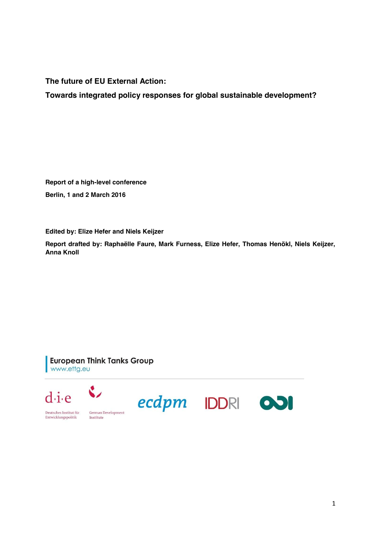**The future of EU External Action:**

**Towards integrated policy responses for global sustainable development?**

**Report of a high-level conference Berlin, 1 and 2 March 2016**

**Edited by: Elize Hefer and Niels Keijzer**

**Report drafted by: Raphaëlle Faure, Mark Furness, Elize Hefer, Thomas Henökl, Niels Keijzer, Anna Knoll** 

**European Think Tanks Group** www.ettg.eu

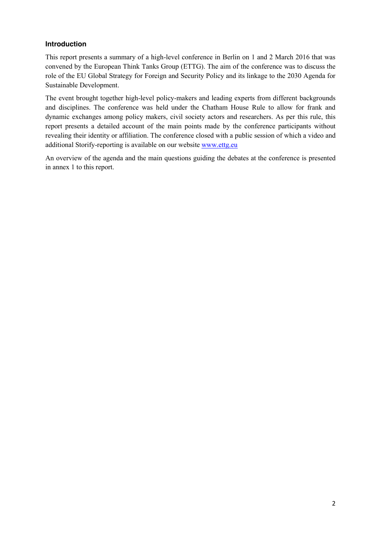### **Introduction**

This report presents a summary of a high-level conference in Berlin on 1 and 2 March 2016 that was convened by the European Think Tanks Group (ETTG). The aim of the conference was to discuss the role of the EU Global Strategy for Foreign and Security Policy and its linkage to the 2030 Agenda for Sustainable Development.

The event brought together high-level policy-makers and leading experts from different backgrounds and disciplines. The conference was held under the Chatham House Rule to allow for frank and dynamic exchanges among policy makers, civil society actors and researchers. As per this rule, this report presents a detailed account of the main points made by the conference participants without revealing their identity or affiliation. The conference closed with a public session of which a video and additional Storify-reporting is available on our website [www.ettg.eu](http://www.ettg.eu/)

An overview of the agenda and the main questions guiding the debates at the conference is presented in annex 1 to this report.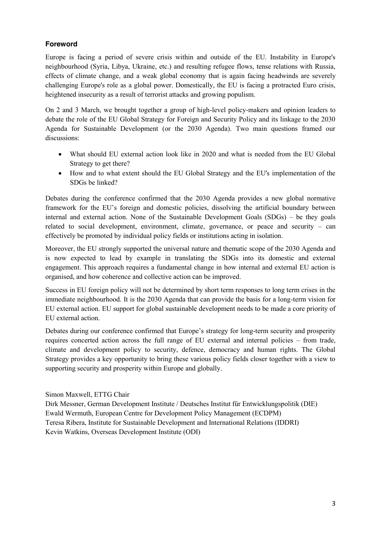# **Foreword**

Europe is facing a period of severe crisis within and outside of the EU. Instability in Europe's neighbourhood (Syria, Libya, Ukraine, etc.) and resulting refugee flows, tense relations with Russia, effects of climate change, and a weak global economy that is again facing headwinds are severely challenging Europe's role as a global power. Domestically, the EU is facing a protracted Euro crisis, heightened insecurity as a result of terrorist attacks and growing populism.

On 2 and 3 March, we brought together a group of high-level policy-makers and opinion leaders to debate the role of the EU Global Strategy for Foreign and Security Policy and its linkage to the 2030 Agenda for Sustainable Development (or the 2030 Agenda). Two main questions framed our discussions:

- What should EU external action look like in 2020 and what is needed from the EU Global Strategy to get there?
- How and to what extent should the EU Global Strategy and the EU's implementation of the SDGs be linked?

Debates during the conference confirmed that the 2030 Agenda provides a new global normative framework for the EU's foreign and domestic policies, dissolving the artificial boundary between internal and external action. None of the Sustainable Development Goals (SDGs) – be they goals related to social development, environment, climate, governance, or peace and security – can effectively be promoted by individual policy fields or institutions acting in isolation.

Moreover, the EU strongly supported the universal nature and thematic scope of the 2030 Agenda and is now expected to lead by example in translating the SDGs into its domestic and external engagement. This approach requires a fundamental change in how internal and external EU action is organised, and how coherence and collective action can be improved.

Success in EU foreign policy will not be determined by short term responses to long term crises in the immediate neighbourhood. It is the 2030 Agenda that can provide the basis for a long-term vision for EU external action. EU support for global sustainable development needs to be made a core priority of EU external action.

Debates during our conference confirmed that Europe's strategy for long-term security and prosperity requires concerted action across the full range of EU external and internal policies – from trade, climate and development policy to security, defence, democracy and human rights. The Global Strategy provides a key opportunity to bring these various policy fields closer together with a view to supporting security and prosperity within Europe and globally.

Simon Maxwell, ETTG Chair Dirk Messner, German Development Institute / Deutsches Institut für Entwicklungspolitik (DIE) Ewald Wermuth, European Centre for Development Policy Management (ECDPM) Teresa Ribera, Institute for Sustainable Development and International Relations (IDDRI) Kevin Watkins, Overseas Development Institute (ODI)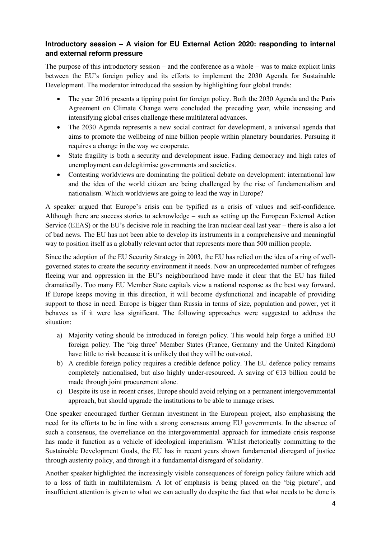## **Introductory session – A vision for EU External Action 2020: responding to internal and external reform pressure**

The purpose of this introductory session – and the conference as a whole – was to make explicit links between the EU's foreign policy and its efforts to implement the 2030 Agenda for Sustainable Development. The moderator introduced the session by highlighting four global trends:

- The year 2016 presents a tipping point for foreign policy. Both the 2030 Agenda and the Paris Agreement on Climate Change were concluded the preceding year, while increasing and intensifying global crises challenge these multilateral advances.
- The 2030 Agenda represents a new social contract for development, a universal agenda that aims to promote the wellbeing of nine billion people within planetary boundaries. Pursuing it requires a change in the way we cooperate.
- State fragility is both a security and development issue. Fading democracy and high rates of unemployment can delegitimise governments and societies.
- Contesting worldviews are dominating the political debate on development: international law and the idea of the world citizen are being challenged by the rise of fundamentalism and nationalism. Which worldviews are going to lead the way in Europe?

A speaker argued that Europe's crisis can be typified as a crisis of values and self-confidence. Although there are success stories to acknowledge – such as setting up the European External Action Service (EEAS) or the EU's decisive role in reaching the Iran nuclear deal last year – there is also a lot of bad news. The EU has not been able to develop its instruments in a comprehensive and meaningful way to position itself as a globally relevant actor that represents more than 500 million people.

Since the adoption of the EU Security Strategy in 2003, the EU has relied on the idea of a ring of wellgoverned states to create the security environment it needs. Now an unprecedented number of refugees fleeing war and oppression in the EU's neighbourhood have made it clear that the EU has failed dramatically. Too many EU Member State capitals view a national response as the best way forward. If Europe keeps moving in this direction, it will become dysfunctional and incapable of providing support to those in need. Europe is bigger than Russia in terms of size, population and power, yet it behaves as if it were less significant. The following approaches were suggested to address the situation:

- a) Majority voting should be introduced in foreign policy. This would help forge a unified EU foreign policy. The 'big three' Member States (France, Germany and the United Kingdom) have little to risk because it is unlikely that they will be outvoted.
- b) A credible foreign policy requires a credible defence policy. The EU defence policy remains completely nationalised, but also highly under-resourced. A saving of  $E13$  billion could be made through joint procurement alone.
- c) Despite its use in recent crises, Europe should avoid relying on a permanent intergovernmental approach, but should upgrade the institutions to be able to manage crises.

One speaker encouraged further German investment in the European project, also emphasising the need for its efforts to be in line with a strong consensus among EU governments. In the absence of such a consensus, the overreliance on the intergovernmental approach for immediate crisis response has made it function as a vehicle of ideological imperialism. Whilst rhetorically committing to the Sustainable Development Goals, the EU has in recent years shown fundamental disregard of justice through austerity policy, and through it a fundamental disregard of solidarity.

Another speaker highlighted the increasingly visible consequences of foreign policy failure which add to a loss of faith in multilateralism. A lot of emphasis is being placed on the 'big picture', and insufficient attention is given to what we can actually do despite the fact that what needs to be done is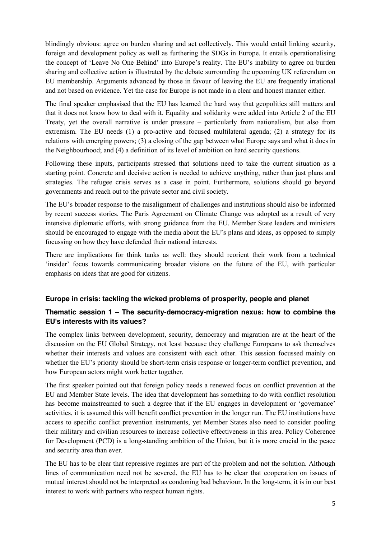blindingly obvious: agree on burden sharing and act collectively. This would entail linking security, foreign and development policy as well as furthering the SDGs in Europe. It entails operationalising the concept of 'Leave No One Behind' into Europe's reality. The EU's inability to agree on burden sharing and collective action is illustrated by the debate surrounding the upcoming UK referendum on EU membership. Arguments advanced by those in favour of leaving the EU are frequently irrational and not based on evidence. Yet the case for Europe is not made in a clear and honest manner either.

The final speaker emphasised that the EU has learned the hard way that geopolitics still matters and that it does not know how to deal with it. Equality and solidarity were added into Article 2 of the EU Treaty, yet the overall narrative is under pressure – particularly from nationalism, but also from extremism. The EU needs (1) a pro-active and focused multilateral agenda; (2) a strategy for its relations with emerging powers; (3) a closing of the gap between what Europe says and what it does in the Neighbourhood; and (4) a definition of its level of ambition on hard security questions.

Following these inputs, participants stressed that solutions need to take the current situation as a starting point. Concrete and decisive action is needed to achieve anything, rather than just plans and strategies. The refugee crisis serves as a case in point. Furthermore, solutions should go beyond governments and reach out to the private sector and civil society.

The EU's broader response to the misalignment of challenges and institutions should also be informed by recent success stories. The Paris Agreement on Climate Change was adopted as a result of very intensive diplomatic efforts, with strong guidance from the EU. Member State leaders and ministers should be encouraged to engage with the media about the EU's plans and ideas, as opposed to simply focussing on how they have defended their national interests.

There are implications for think tanks as well: they should reorient their work from a technical 'insider' focus towards communicating broader visions on the future of the EU, with particular emphasis on ideas that are good for citizens.

## **Europe in crisis: tackling the wicked problems of prosperity, people and planet**

# **Thematic session 1 – The security-democracy-migration nexus: how to combine the EU's interests with its values?**

The complex links between development, security, democracy and migration are at the heart of the discussion on the EU Global Strategy, not least because they challenge Europeans to ask themselves whether their interests and values are consistent with each other. This session focussed mainly on whether the EU's priority should be short-term crisis response or longer-term conflict prevention, and how European actors might work better together.

The first speaker pointed out that foreign policy needs a renewed focus on conflict prevention at the EU and Member State levels. The idea that development has something to do with conflict resolution has become mainstreamed to such a degree that if the EU engages in development or 'governance' activities, it is assumed this will benefit conflict prevention in the longer run. The EU institutions have access to specific conflict prevention instruments, yet Member States also need to consider pooling their military and civilian resources to increase collective effectiveness in this area. Policy Coherence for Development (PCD) is a long-standing ambition of the Union, but it is more crucial in the peace and security area than ever.

The EU has to be clear that repressive regimes are part of the problem and not the solution. Although lines of communication need not be severed, the EU has to be clear that cooperation on issues of mutual interest should not be interpreted as condoning bad behaviour. In the long-term, it is in our best interest to work with partners who respect human rights.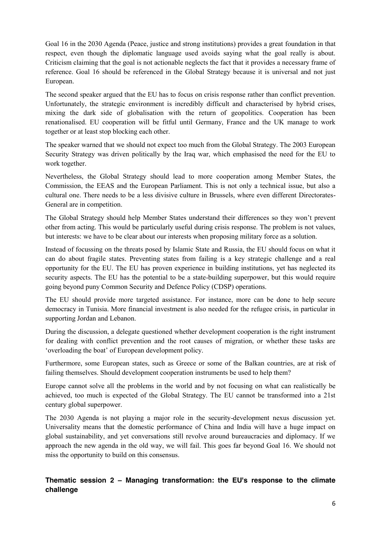Goal 16 in the 2030 Agenda (Peace, justice and strong institutions) provides a great foundation in that respect, even though the diplomatic language used avoids saying what the goal really is about. Criticism claiming that the goal is not actionable neglects the fact that it provides a necessary frame of reference. Goal 16 should be referenced in the Global Strategy because it is universal and not just European.

The second speaker argued that the EU has to focus on crisis response rather than conflict prevention. Unfortunately, the strategic environment is incredibly difficult and characterised by hybrid crises, mixing the dark side of globalisation with the return of geopolitics. Cooperation has been renationalised. EU cooperation will be fitful until Germany, France and the UK manage to work together or at least stop blocking each other.

The speaker warned that we should not expect too much from the Global Strategy. The 2003 European Security Strategy was driven politically by the Iraq war, which emphasised the need for the EU to work together.

Nevertheless, the Global Strategy should lead to more cooperation among Member States, the Commission, the EEAS and the European Parliament. This is not only a technical issue, but also a cultural one. There needs to be a less divisive culture in Brussels, where even different Directorates-General are in competition.

The Global Strategy should help Member States understand their differences so they won't prevent other from acting. This would be particularly useful during crisis response. The problem is not values, but interests: we have to be clear about our interests when proposing military force as a solution.

Instead of focussing on the threats posed by Islamic State and Russia, the EU should focus on what it can do about fragile states. Preventing states from failing is a key strategic challenge and a real opportunity for the EU. The EU has proven experience in building institutions, yet has neglected its security aspects. The EU has the potential to be a state-building superpower, but this would require going beyond puny Common Security and Defence Policy (CDSP) operations.

The EU should provide more targeted assistance. For instance, more can be done to help secure democracy in Tunisia. More financial investment is also needed for the refugee crisis, in particular in supporting Jordan and Lebanon.

During the discussion, a delegate questioned whether development cooperation is the right instrument for dealing with conflict prevention and the root causes of migration, or whether these tasks are 'overloading the boat' of European development policy.

Furthermore, some European states, such as Greece or some of the Balkan countries, are at risk of failing themselves. Should development cooperation instruments be used to help them?

Europe cannot solve all the problems in the world and by not focusing on what can realistically be achieved, too much is expected of the Global Strategy. The EU cannot be transformed into a 21st century global superpower.

The 2030 Agenda is not playing a major role in the security-development nexus discussion yet. Universality means that the domestic performance of China and India will have a huge impact on global sustainability, and yet conversations still revolve around bureaucracies and diplomacy. If we approach the new agenda in the old way, we will fail. This goes far beyond Goal 16. We should not miss the opportunity to build on this consensus.

## **Thematic session 2 – Managing transformation: the EU's response to the climate challenge**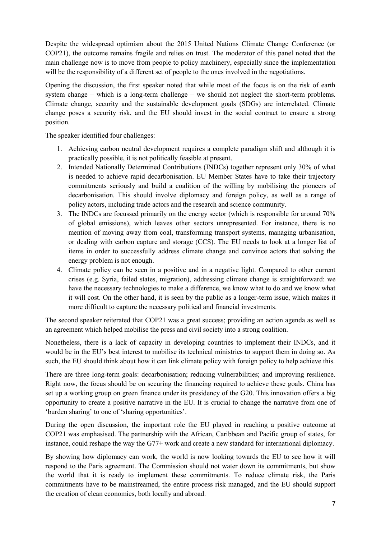Despite the widespread optimism about the 2015 United Nations Climate Change Conference (or COP21), the outcome remains fragile and relies on trust. The moderator of this panel noted that the main challenge now is to move from people to policy machinery, especially since the implementation will be the responsibility of a different set of people to the ones involved in the negotiations.

Opening the discussion, the first speaker noted that while most of the focus is on the risk of earth system change – which is a long-term challenge – we should not neglect the short-term problems. Climate change, security and the sustainable development goals (SDGs) are interrelated. Climate change poses a security risk, and the EU should invest in the social contract to ensure a strong position.

The speaker identified four challenges:

- 1. Achieving carbon neutral development requires a complete paradigm shift and although it is practically possible, it is not politically feasible at present.
- 2. Intended Nationally Determined Contributions (INDCs) together represent only 30% of what is needed to achieve rapid decarbonisation. EU Member States have to take their trajectory commitments seriously and build a coalition of the willing by mobilising the pioneers of decarbonisation. This should involve diplomacy and foreign policy, as well as a range of policy actors, including trade actors and the research and science community.
- 3. The INDCs are focussed primarily on the energy sector (which is responsible for around 70% of global emissions), which leaves other sectors unrepresented. For instance, there is no mention of moving away from coal, transforming transport systems, managing urbanisation, or dealing with carbon capture and storage (CCS). The EU needs to look at a longer list of items in order to successfully address climate change and convince actors that solving the energy problem is not enough.
- 4. Climate policy can be seen in a positive and in a negative light. Compared to other current crises (e.g. Syria, failed states, migration), addressing climate change is straightforward: we have the necessary technologies to make a difference, we know what to do and we know what it will cost. On the other hand, it is seen by the public as a longer-term issue, which makes it more difficult to capture the necessary political and financial investments.

The second speaker reiterated that COP21 was a great success; providing an action agenda as well as an agreement which helped mobilise the press and civil society into a strong coalition.

Nonetheless, there is a lack of capacity in developing countries to implement their INDCs, and it would be in the EU's best interest to mobilise its technical ministries to support them in doing so. As such, the EU should think about how it can link climate policy with foreign policy to help achieve this.

There are three long-term goals: decarbonisation; reducing vulnerabilities; and improving resilience. Right now, the focus should be on securing the financing required to achieve these goals. China has set up a working group on green finance under its presidency of the G20. This innovation offers a big opportunity to create a positive narrative in the EU. It is crucial to change the narrative from one of 'burden sharing' to one of 'sharing opportunities'.

During the open discussion, the important role the EU played in reaching a positive outcome at COP21 was emphasised. The partnership with the African, Caribbean and Pacific group of states, for instance, could reshape the way the G77+ work and create a new standard for international diplomacy.

By showing how diplomacy can work, the world is now looking towards the EU to see how it will respond to the Paris agreement. The Commission should not water down its commitments, but show the world that it is ready to implement these commitments. To reduce climate risk, the Paris commitments have to be mainstreamed, the entire process risk managed, and the EU should support the creation of clean economies, both locally and abroad.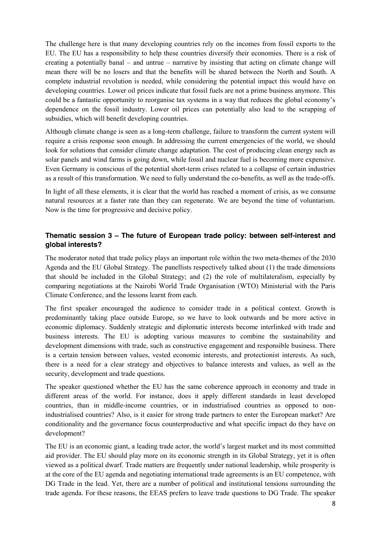The challenge here is that many developing countries rely on the incomes from fossil exports to the EU. The EU has a responsibility to help these countries diversify their economies. There is a risk of creating a potentially banal – and untrue – narrative by insisting that acting on climate change will mean there will be no losers and that the benefits will be shared between the North and South. A complete industrial revolution is needed, while considering the potential impact this would have on developing countries. Lower oil prices indicate that fossil fuels are not a prime business anymore. This could be a fantastic opportunity to reorganise tax systems in a way that reduces the global economy's dependence on the fossil industry. Lower oil prices can potentially also lead to the scrapping of subsidies, which will benefit developing countries.

Although climate change is seen as a long-term challenge, failure to transform the current system will require a crisis response soon enough. In addressing the current emergencies of the world, we should look for solutions that consider climate change adaptation. The cost of producing clean energy such as solar panels and wind farms is going down, while fossil and nuclear fuel is becoming more expensive. Even Germany is conscious of the potential short-term crises related to a collapse of certain industries as a result of this transformation. We need to fully understand the co-benefits, as well as the trade-offs.

In light of all these elements, it is clear that the world has reached a moment of crisis, as we consume natural resources at a faster rate than they can regenerate. We are beyond the time of voluntarism. Now is the time for progressive and decisive policy.

## **Thematic session 3 – The future of European trade policy: between self-interest and global interests?**

The moderator noted that trade policy plays an important role within the two meta-themes of the 2030 Agenda and the EU Global Strategy. The panellists respectively talked about (1) the trade dimensions that should be included in the Global Strategy; and (2) the role of multilateralism, especially by comparing negotiations at the Nairobi World Trade Organisation (WTO) Ministerial with the Paris Climate Conference, and the lessons learnt from each.

The first speaker encouraged the audience to consider trade in a political context. Growth is predominantly taking place outside Europe, so we have to look outwards and be more active in economic diplomacy. Suddenly strategic and diplomatic interests become interlinked with trade and business interests. The EU is adopting various measures to combine the sustainability and development dimensions with trade, such as constructive engagement and responsible business. There is a certain tension between values, vested economic interests, and protectionist interests. As such, there is a need for a clear strategy and objectives to balance interests and values, as well as the security, development and trade questions.

The speaker questioned whether the EU has the same coherence approach in economy and trade in different areas of the world. For instance, does it apply different standards in least developed countries, than in middle-income countries, or in industrialised countries as opposed to nonindustrialised countries? Also, is it easier for strong trade partners to enter the European market? Are conditionality and the governance focus counterproductive and what specific impact do they have on development?

The EU is an economic giant, a leading trade actor, the world's largest market and its most committed aid provider. The EU should play more on its economic strength in its Global Strategy, yet it is often viewed as a political dwarf. Trade matters are frequently under national leadership, while prosperity is at the core of the EU agenda and negotiating international trade agreements is an EU competence, with DG Trade in the lead. Yet, there are a number of political and institutional tensions surrounding the trade agenda. For these reasons, the EEAS prefers to leave trade questions to DG Trade. The speaker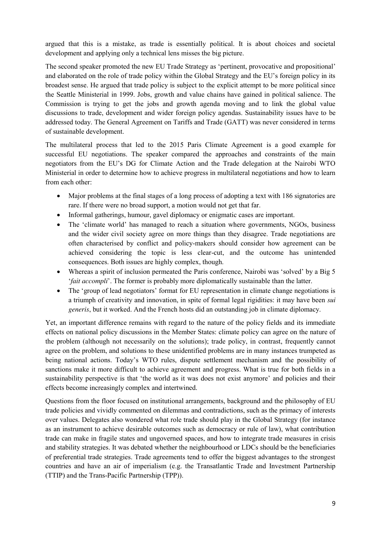argued that this is a mistake, as trade is essentially political. It is about choices and societal development and applying only a technical lens misses the big picture.

The second speaker promoted the new EU Trade Strategy as 'pertinent, provocative and propositional' and elaborated on the role of trade policy within the Global Strategy and the EU's foreign policy in its broadest sense. He argued that trade policy is subject to the explicit attempt to be more political since the Seattle Ministerial in 1999. Jobs, growth and value chains have gained in political salience. The Commission is trying to get the jobs and growth agenda moving and to link the global value discussions to trade, development and wider foreign policy agendas. Sustainability issues have to be addressed today. The General Agreement on Tariffs and Trade (GATT) was never considered in terms of sustainable development.

The multilateral process that led to the 2015 Paris Climate Agreement is a good example for successful EU negotiations. The speaker compared the approaches and constraints of the main negotiators from the EU's DG for Climate Action and the Trade delegation at the Nairobi WTO Ministerial in order to determine how to achieve progress in multilateral negotiations and how to learn from each other:

- Major problems at the final stages of a long process of adopting a text with 186 signatories are rare. If there were no broad support, a motion would not get that far.
- Informal gatherings, humour, gavel diplomacy or enigmatic cases are important.
- The 'climate world' has managed to reach a situation where governments, NGOs, business and the wider civil society agree on more things than they disagree. Trade negotiations are often characterised by conflict and policy-makers should consider how agreement can be achieved considering the topic is less clear-cut, and the outcome has unintended consequences. Both issues are highly complex, though.
- Whereas a spirit of inclusion permeated the Paris conference, Nairobi was 'solved' by a Big 5 '*fait accompli*'. The former is probably more diplomatically sustainable than the latter.
- The 'group of lead negotiators' format for EU representation in climate change negotiations is a triumph of creativity and innovation, in spite of formal legal rigidities: it may have been *sui generis*, but it worked. And the French hosts did an outstanding job in climate diplomacy.

Yet, an important difference remains with regard to the nature of the policy fields and its immediate effects on national policy discussions in the Member States: climate policy can agree on the nature of the problem (although not necessarily on the solutions); trade policy, in contrast, frequently cannot agree on the problem, and solutions to these unidentified problems are in many instances trumpeted as being national actions. Today's WTO rules, dispute settlement mechanism and the possibility of sanctions make it more difficult to achieve agreement and progress. What is true for both fields in a sustainability perspective is that 'the world as it was does not exist anymore' and policies and their effects become increasingly complex and intertwined.

Questions from the floor focused on institutional arrangements, background and the philosophy of EU trade policies and vividly commented on dilemmas and contradictions, such as the primacy of interests over values. Delegates also wondered what role trade should play in the Global Strategy (for instance as an instrument to achieve desirable outcomes such as democracy or rule of law), what contribution trade can make in fragile states and ungoverned spaces, and how to integrate trade measures in crisis and stability strategies. It was debated whether the neighbourhood or LDCs should be the beneficiaries of preferential trade strategies. Trade agreements tend to offer the biggest advantages to the strongest countries and have an air of imperialism (e.g. the Transatlantic Trade and Investment Partnership (TTIP) and the Trans-Pacific Partnership (TPP)).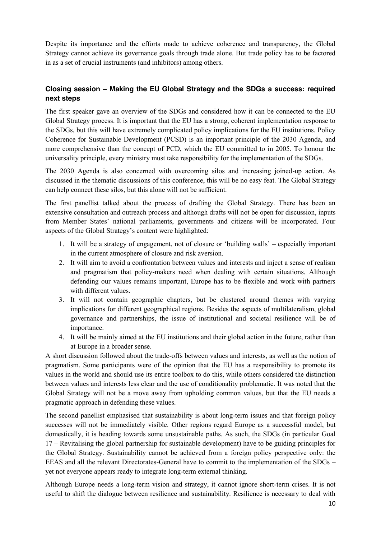Despite its importance and the efforts made to achieve coherence and transparency, the Global Strategy cannot achieve its governance goals through trade alone. But trade policy has to be factored in as a set of crucial instruments (and inhibitors) among others.

# **Closing session – Making the EU Global Strategy and the SDGs a success: required next steps**

The first speaker gave an overview of the SDGs and considered how it can be connected to the EU Global Strategy process. It is important that the EU has a strong, coherent implementation response to the SDGs, but this will have extremely complicated policy implications for the EU institutions. Policy Coherence for Sustainable Development (PCSD) is an important principle of the 2030 Agenda, and more comprehensive than the concept of PCD, which the EU committed to in 2005. To honour the universality principle, every ministry must take responsibility for the implementation of the SDGs.

The 2030 Agenda is also concerned with overcoming silos and increasing joined-up action. As discussed in the thematic discussions of this conference, this will be no easy feat. The Global Strategy can help connect these silos, but this alone will not be sufficient.

The first panellist talked about the process of drafting the Global Strategy. There has been an extensive consultation and outreach process and although drafts will not be open for discussion, inputs from Member States' national parliaments, governments and citizens will be incorporated. Four aspects of the Global Strategy's content were highlighted:

- 1. It will be a strategy of engagement, not of closure or 'building walls' especially important in the current atmosphere of closure and risk aversion.
- 2. It will aim to avoid a confrontation between values and interests and inject a sense of realism and pragmatism that policy-makers need when dealing with certain situations. Although defending our values remains important, Europe has to be flexible and work with partners with different values.
- 3. It will not contain geographic chapters, but be clustered around themes with varying implications for different geographical regions. Besides the aspects of multilateralism, global governance and partnerships, the issue of institutional and societal resilience will be of importance.
- 4. It will be mainly aimed at the EU institutions and their global action in the future, rather than at Europe in a broader sense.

A short discussion followed about the trade-offs between values and interests, as well as the notion of pragmatism. Some participants were of the opinion that the EU has a responsibility to promote its values in the world and should use its entire toolbox to do this, while others considered the distinction between values and interests less clear and the use of conditionality problematic. It was noted that the Global Strategy will not be a move away from upholding common values, but that the EU needs a pragmatic approach in defending these values.

The second panellist emphasised that sustainability is about long-term issues and that foreign policy successes will not be immediately visible. Other regions regard Europe as a successful model, but domestically, it is heading towards some unsustainable paths. As such, the SDGs (in particular Goal 17 – Revitalising the global partnership for sustainable development) have to be guiding principles for the Global Strategy. Sustainability cannot be achieved from a foreign policy perspective only: the EEAS and all the relevant Directorates-General have to commit to the implementation of the SDGs – yet not everyone appears ready to integrate long-term external thinking.

Although Europe needs a long-term vision and strategy, it cannot ignore short-term crises. It is not useful to shift the dialogue between resilience and sustainability. Resilience is necessary to deal with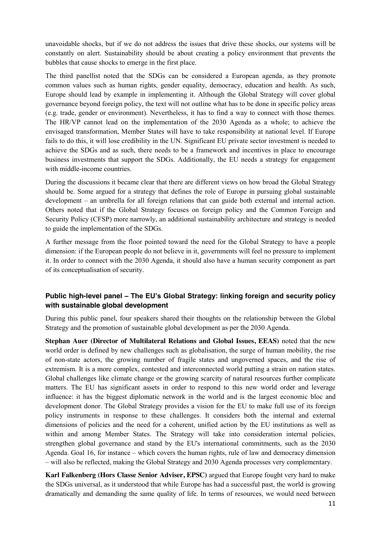unavoidable shocks, but if we do not address the issues that drive these shocks, our systems will be constantly on alert. Sustainability should be about creating a policy environment that prevents the bubbles that cause shocks to emerge in the first place.

The third panellist noted that the SDGs can be considered a European agenda, as they promote common values such as human rights, gender equality, democracy, education and health. As such, Europe should lead by example in implementing it. Although the Global Strategy will cover global governance beyond foreign policy, the text will not outline what has to be done in specific policy areas (e.g. trade, gender or environment). Nevertheless, it has to find a way to connect with those themes. The HR/VP cannot lead on the implementation of the 2030 Agenda as a whole; to achieve the envisaged transformation, Member States will have to take responsibility at national level. If Europe fails to do this, it will lose credibility in the UN. Significant EU private sector investment is needed to achieve the SDGs and as such, there needs to be a framework and incentives in place to encourage business investments that support the SDGs. Additionally, the EU needs a strategy for engagement with middle-income countries.

During the discussions it became clear that there are different views on how broad the Global Strategy should be. Some argued for a strategy that defines the role of Europe in pursuing global sustainable development – an umbrella for all foreign relations that can guide both external and internal action. Others noted that if the Global Strategy focuses on foreign policy and the Common Foreign and Security Policy (CFSP) more narrowly, an additional sustainability architecture and strategy is needed to guide the implementation of the SDGs.

A further message from the floor pointed toward the need for the Global Strategy to have a people dimension: if the European people do not believe in it, governments will feel no pressure to implement it. In order to connect with the 2030 Agenda, it should also have a human security component as part of its conceptualisation of security.

## **Public high-level panel – The EU's Global Strategy: linking foreign and security policy with sustainable global development**

During this public panel, four speakers shared their thoughts on the relationship between the Global Strategy and the promotion of sustainable global development as per the 2030 Agenda.

**Stephan Auer (Director of Multilateral Relations and Global Issues, EEAS)** noted that the new world order is defined by new challenges such as globalisation, the surge of human mobility, the rise of non-state actors, the growing number of fragile states and ungoverned spaces, and the rise of extremism. It is a more complex, contested and interconnected world putting a strain on nation states. Global challenges like climate change or the growing scarcity of natural resources further complicate matters. The EU has significant assets in order to respond to this new world order and leverage influence: it has the biggest diplomatic network in the world and is the largest economic bloc and development donor. The Global Strategy provides a vision for the EU to make full use of its foreign policy instruments in response to these challenges. It considers both the internal and external dimensions of policies and the need for a coherent, unified action by the EU institutions as well as within and among Member States. The Strategy will take into consideration internal policies, strengthen global governance and stand by the EU's international commitments, such as the 2030 Agenda. Goal 16, for instance – which covers the human rights, rule of law and democracy dimension – will also be reflected, making the Global Strategy and 2030 Agenda processes very complementary.

**Karl Falkenberg (Hors Classe Senior Adviser, EPSC)** argued that Europe fought very hard to make the SDGs universal, as it understood that while Europe has had a successful past, the world is growing dramatically and demanding the same quality of life. In terms of resources, we would need between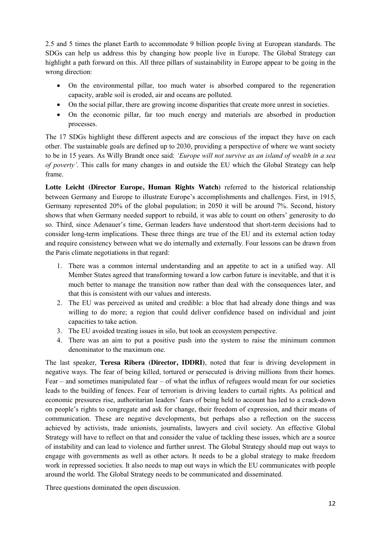2.5 and 5 times the planet Earth to accommodate 9 billion people living at European standards. The SDGs can help us address this by changing how people live in Europe. The Global Strategy can highlight a path forward on this. All three pillars of sustainability in Europe appear to be going in the wrong direction:

- On the environmental pillar, too much water is absorbed compared to the regeneration capacity, arable soil is eroded, air and oceans are polluted.
- On the social pillar, there are growing income disparities that create more unrest in societies.
- On the economic pillar, far too much energy and materials are absorbed in production processes.

The 17 SDGs highlight these different aspects and are conscious of the impact they have on each other. The sustainable goals are defined up to 2030, providing a perspective of where we want society to be in 15 years. As Willy Brandt once said: *'Europe will not survive as an island of wealth in a sea of poverty'*. This calls for many changes in and outside the EU which the Global Strategy can help frame.

**Lotte Leicht (Director Europe, Human Rights Watch)** referred to the historical relationship between Germany and Europe to illustrate Europe's accomplishments and challenges. First, in 1915, Germany represented 20% of the global population; in 2050 it will be around 7%. Second, history shows that when Germany needed support to rebuild, it was able to count on others' generosity to do so. Third, since Adenauer's time, German leaders have understood that short-term decisions had to consider long-term implications. These three things are true of the EU and its external action today and require consistency between what we do internally and externally. Four lessons can be drawn from the Paris climate negotiations in that regard:

- 1. There was a common internal understanding and an appetite to act in a unified way. All Member States agreed that transforming toward a low carbon future is inevitable, and that it is much better to manage the transition now rather than deal with the consequences later, and that this is consistent with our values and interests.
- 2. The EU was perceived as united and credible: a bloc that had already done things and was willing to do more; a region that could deliver confidence based on individual and joint capacities to take action.
- 3. The EU avoided treating issues in silo, but took an ecosystem perspective.
- 4. There was an aim to put a positive push into the system to raise the minimum common denominator to the maximum one.

The last speaker, **Teresa Ribera (Director, IDDRI)**, noted that fear is driving development in negative ways. The fear of being killed, tortured or persecuted is driving millions from their homes. Fear – and sometimes manipulated fear – of what the influx of refugees would mean for our societies leads to the building of fences. Fear of terrorism is driving leaders to curtail rights. As political and economic pressures rise, authoritarian leaders' fears of being held to account has led to a crack-down on people's rights to congregate and ask for change, their freedom of expression, and their means of communication. These are negative developments, but perhaps also a reflection on the success achieved by activists, trade unionists, journalists, lawyers and civil society. An effective Global Strategy will have to reflect on that and consider the value of tackling these issues, which are a source of instability and can lead to violence and further unrest. The Global Strategy should map out ways to engage with governments as well as other actors. It needs to be a global strategy to make freedom work in repressed societies. It also needs to map out ways in which the EU communicates with people around the world. The Global Strategy needs to be communicated and disseminated.

Three questions dominated the open discussion.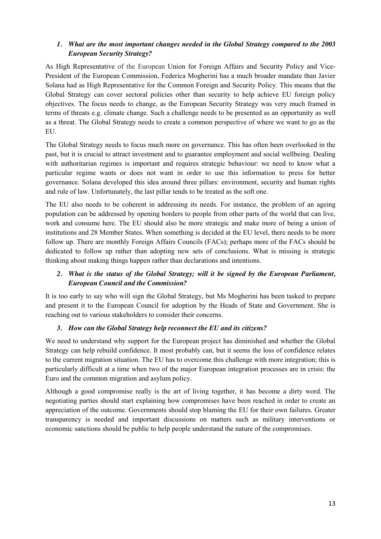### *1. What are the most important changes needed in the Global Strategy compared to the 2003 European Security Strategy?*

As High Representative of the European Union for Foreign Affairs and Security Policy and Vice-President of the European Commission, Federica Mogherini has a much broader mandate than Javier Solana had as High Representative for the Common Foreign and Security Policy. This means that the Global Strategy can cover sectoral policies other than security to help achieve EU foreign policy objectives. The focus needs to change, as the European Security Strategy was very much framed in terms of threats e.g. climate change. Such a challenge needs to be presented as an opportunity as well as a threat. The Global Strategy needs to create a common perspective of where we want to go as the EU.

The Global Strategy needs to focus much more on governance. This has often been overlooked in the past, but it is crucial to attract investment and to guarantee employment and social wellbeing. Dealing with authoritarian regimes is important and requires strategic behaviour: we need to know what a particular regime wants or does not want in order to use this information to press for better governance. Solana developed this idea around three pillars: environment, security and human rights and rule of law. Unfortunately, the last pillar tends to be treated as the soft one.

The EU also needs to be coherent in addressing its needs. For instance, the problem of an ageing population can be addressed by opening borders to people from other parts of the world that can live, work and consume here. The EU should also be more strategic and make more of being a union of institutions and 28 Member States. When something is decided at the EU level, there needs to be more follow up. There are monthly Foreign Affairs Councils (FACs); perhaps more of the FACs should be dedicated to follow up rather than adopting new sets of conclusions. What is missing is strategic thinking about making things happen rather than declarations and intentions.

## *2. What is the status of the Global Strategy; will it be signed by the European Parliament, European Council and the Commission?*

It is too early to say who will sign the Global Strategy, but Ms Mogherini has been tasked to prepare and present it to the European Council for adoption by the Heads of State and Government. She is reaching out to various stakeholders to consider their concerns.

## *3. How can the Global Strategy help reconnect the EU and its citizens?*

We need to understand why support for the European project has diminished and whether the Global Strategy can help rebuild confidence. It most probably can, but it seems the loss of confidence relates to the current migration situation. The EU has to overcome this challenge with more integration; this is particularly difficult at a time when two of the major European integration processes are in crisis: the Euro and the common migration and asylum policy.

Although a good compromise really is the art of living together, it has become a dirty word. The negotiating parties should start explaining how compromises have been reached in order to create an appreciation of the outcome. Governments should stop blaming the EU for their own failures. Greater transparency is needed and important discussions on matters such as military interventions or economic sanctions should be public to help people understand the nature of the compromises.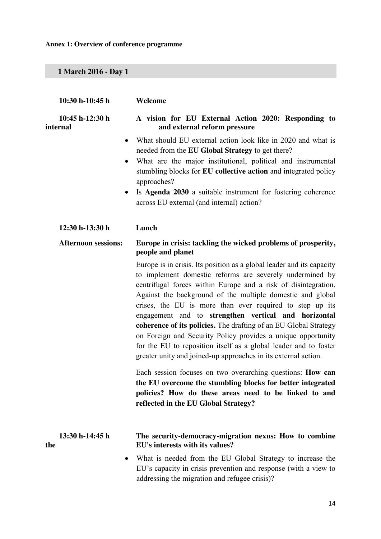**Annex 1: Overview of conference programme**

**1 March 2016 - Day 1**

|     | 10:30 h-10:45 h               | Welcome                                                                                                                                                                                                                                                                                                                                                                                                                                                                                                                                                                                                                                                                                                                                               |
|-----|-------------------------------|-------------------------------------------------------------------------------------------------------------------------------------------------------------------------------------------------------------------------------------------------------------------------------------------------------------------------------------------------------------------------------------------------------------------------------------------------------------------------------------------------------------------------------------------------------------------------------------------------------------------------------------------------------------------------------------------------------------------------------------------------------|
|     | $10:45 h-12:30 h$<br>internal | A vision for EU External Action 2020: Responding to<br>and external reform pressure                                                                                                                                                                                                                                                                                                                                                                                                                                                                                                                                                                                                                                                                   |
|     | $\bullet$                     | What should EU external action look like in 2020 and what is<br>needed from the EU Global Strategy to get there?<br>What are the major institutional, political and instrumental<br>stumbling blocks for EU collective action and integrated policy<br>approaches?<br>Is Agenda 2030 a suitable instrument for fostering coherence<br>across EU external (and internal) action?                                                                                                                                                                                                                                                                                                                                                                       |
|     | 12:30 h-13:30 h               | Lunch                                                                                                                                                                                                                                                                                                                                                                                                                                                                                                                                                                                                                                                                                                                                                 |
|     | <b>Afternoon sessions:</b>    | Europe in crisis: tackling the wicked problems of prosperity,<br>people and planet<br>Europe is in crisis. Its position as a global leader and its capacity<br>to implement domestic reforms are severely undermined by<br>centrifugal forces within Europe and a risk of disintegration.<br>Against the background of the multiple domestic and global<br>crises, the EU is more than ever required to step up its<br>engagement and to strengthen vertical and horizontal<br>coherence of its policies. The drafting of an EU Global Strategy<br>on Foreign and Security Policy provides a unique opportunity<br>for the EU to reposition itself as a global leader and to foster<br>greater unity and joined-up approaches in its external action. |
|     |                               | Each session focuses on two overarching questions: <b>How can</b><br>the EU overcome the stumbling blocks for better integrated<br>policies? How do these areas need to be linked to and<br>reflected in the EU Global Strategy?                                                                                                                                                                                                                                                                                                                                                                                                                                                                                                                      |
| the | 13:30 h-14:45 h               | The security-democracy-migration nexus: How to combine<br>EU's interests with its values?                                                                                                                                                                                                                                                                                                                                                                                                                                                                                                                                                                                                                                                             |
|     | $\bullet$                     | What is needed from the EU Global Strategy to increase the<br>EU's capacity in crisis prevention and response (with a view to<br>addressing the migration and refugee crisis)?                                                                                                                                                                                                                                                                                                                                                                                                                                                                                                                                                                        |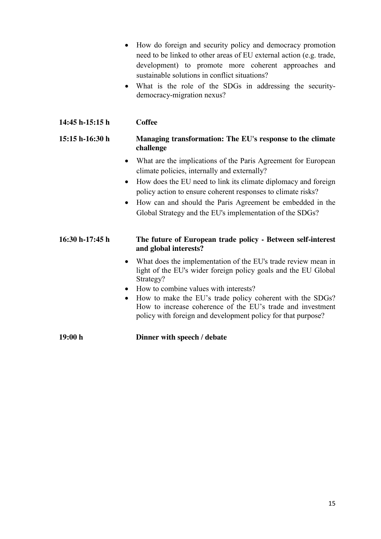- How do foreign and security policy and democracy promotion need to be linked to other areas of EU external action (e.g. trade, development) to promote more coherent approaches and sustainable solutions in conflict situations?
- What is the role of the SDGs in addressing the securitydemocracy-migration nexus?

# **14:45 h-15:15 h Coffee**

#### **15:15 h-16:30 h Managing transformation: The EU's response to the climate challenge**

- What are the implications of the Paris Agreement for European climate policies, internally and externally?
- $\bullet$  How does the EU need to link its climate diplomacy and foreign policy action to ensure coherent responses to climate risks?
- How can and should the Paris Agreement be embedded in the Global Strategy and the EU's implementation of the SDGs?

## **16:30 h-17:45 h The future of European trade policy - Between self-interest and global interests?**

- What does the implementation of the EU's trade review mean in light of the EU's wider foreign policy goals and the EU Global Strategy?
- How to combine values with interests?
- How to make the EU's trade policy coherent with the SDGs? How to increase coherence of the EU's trade and investment policy with foreign and development policy for that purpose?

**19:00 h Dinner with speech / debate**